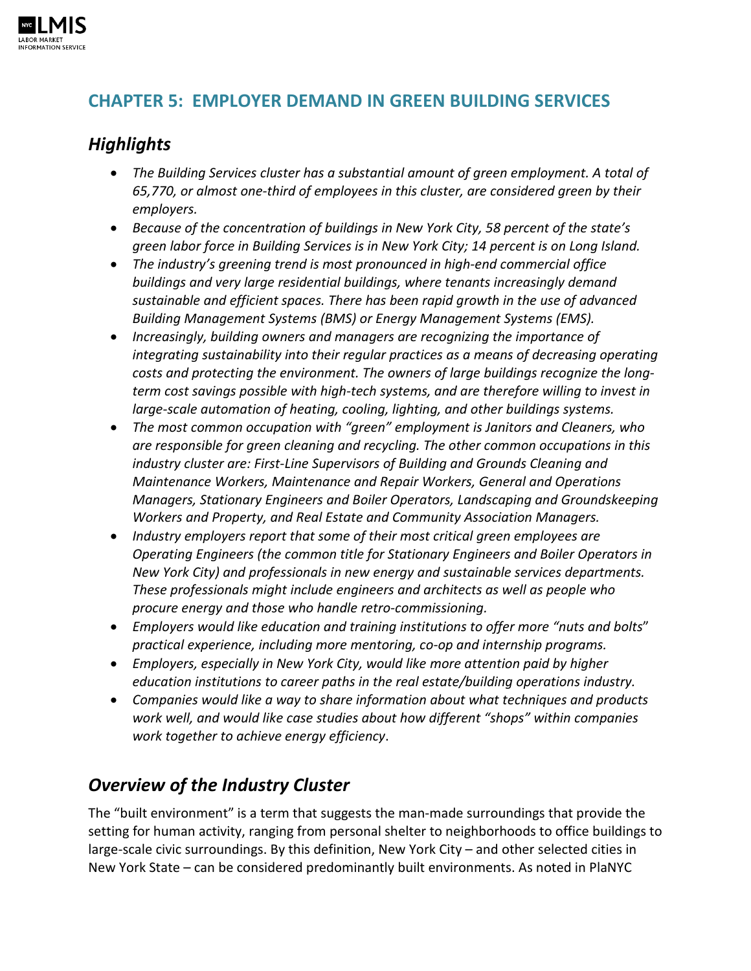

## **CHAPTER 5: EMPLOYER DEMAND IN GREEN BUILDING SERVICES**

## *Highlights*

- *The Building Services cluster has a substantial amount of green employment. A total of 65,770, or almost one-third of employees in this cluster, are considered green by their employers.*
- *Because of the concentration of buildings in New York City, 58 percent of the state's green labor force in Building Services is in New York City; 14 percent is on Long Island.*
- *The industry's greening trend is most pronounced in high-end commercial office buildings and very large residential buildings, where tenants increasingly demand sustainable and efficient spaces. There has been rapid growth in the use of advanced Building Management Systems (BMS) or Energy Management Systems (EMS).*
- *Increasingly, building owners and managers are recognizing the importance of integrating sustainability into their regular practices as a means of decreasing operating costs and protecting the environment. The owners of large buildings recognize the longterm cost savings possible with high-tech systems, and are therefore willing to invest in large-scale automation of heating, cooling, lighting, and other buildings systems.*
- *The most common occupation with "green" employment is Janitors and Cleaners, who are responsible for green cleaning and recycling. The other common occupations in this industry cluster are: First-Line Supervisors of Building and Grounds Cleaning and Maintenance Workers, Maintenance and Repair Workers, General and Operations Managers, Stationary Engineers and Boiler Operators, Landscaping and Groundskeeping Workers and Property, and Real Estate and Community Association Managers.*
- *Industry employers report that some of their most critical green employees are Operating Engineers (the common title for Stationary Engineers and Boiler Operators in New York City) and professionals in new energy and sustainable services departments. These professionals might include engineers and architects as well as people who procure energy and those who handle retro-commissioning.*
- *Employers would like education and training institutions to offer more "nuts and bolts*" *practical experience, including more mentoring, co-op and internship programs.*
- *Employers, especially in New York City, would like more attention paid by higher education institutions to career paths in the real estate/building operations industry.*
- *Companies would like a way to share information about what techniques and products work well, and would like case studies about how different "shops" within companies work together to achieve energy efficiency*.

# *Overview of the Industry Cluster*

The "built environment" is a term that suggests the man-made surroundings that provide the setting for human activity, ranging from personal shelter to neighborhoods to office buildings to large-scale civic surroundings. By this definition, New York City – and other selected cities in New York State – can be considered predominantly built environments. As noted in PlaNYC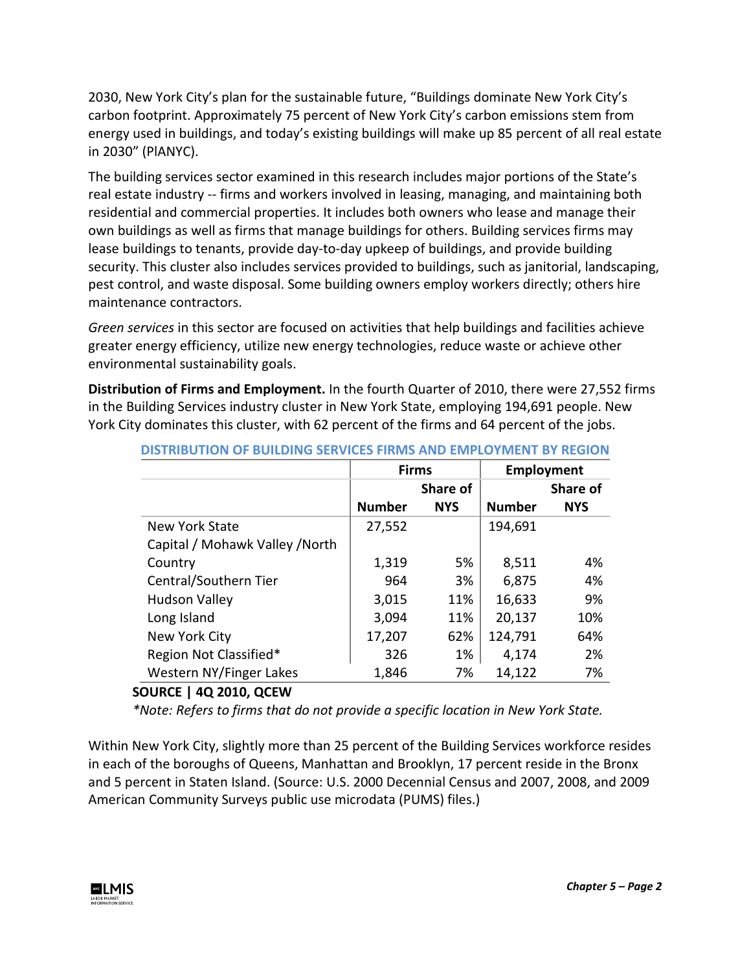2030, New York City's plan for the sustainable future, "Buildings dominate New York City's carbon footprint. Approximately 75 percent of New York City's carbon emissions stem from energy used in buildings, and today's existing buildings will make up 85 percent of all real estate in 2030" (PlANYC).

The building services sector examined in this research includes major portions of the State's real estate industry -- firms and workers involved in leasing, managing, and maintaining both residential and commercial properties. It includes both owners who lease and manage their own buildings as well as firms that manage buildings for others. Building services firms may lease buildings to tenants, provide day-to-day upkeep of buildings, and provide building security. This cluster also includes services provided to buildings, such as janitorial, landscaping, pest control, and waste disposal. Some building owners employ workers directly; others hire maintenance contractors.

*Green services* in this sector are focused on activities that help buildings and facilities achieve greater energy efficiency, utilize new energy technologies, reduce waste or achieve other environmental sustainability goals.

**Distribution of Firms and Employment.** In the fourth Quarter of 2010, there were 27,552 firms in the Building Services industry cluster in New York State, employing 194,691 people. New York City dominates this cluster, with 62 percent of the firms and 64 percent of the jobs.

|                                 | <b>Firms</b>  |            | Employment    |                 |
|---------------------------------|---------------|------------|---------------|-----------------|
|                                 |               | Share of   |               | <b>Share of</b> |
|                                 | <b>Number</b> | <b>NYS</b> | <b>Number</b> | <b>NYS</b>      |
| <b>New York State</b>           | 27,552        |            | 194,691       |                 |
| Capital / Mohawk Valley / North |               |            |               |                 |
| Country                         | 1,319         | 5%         | 8,511         | 4%              |
| Central/Southern Tier           | 964           | 3%         | 6,875         | 4%              |
| <b>Hudson Valley</b>            | 3,015         | 11%        | 16,633        | 9%              |
| Long Island                     | 3,094         | 11%        | 20,137        | 10%             |
| New York City                   | 17,207        | 62%        | 124,791       | 64%             |
| Region Not Classified*          | 326           | 1%         | 4,174         | 2%              |
| Western NY/Finger Lakes         | 1,846         | 7%         | 14,122        | 7%              |

**DISTRIBUTION OF BUILDING SERVICES FIRMS AND EMPLOYMENT BY REGION**

## **SOURCE | 4Q 2010, QCEW**

*\*Note: Refers to firms that do not provide a specific location in New York State.*

Within New York City, slightly more than 25 percent of the Building Services workforce resides in each of the boroughs of Queens, Manhattan and Brooklyn, 17 percent reside in the Bronx and 5 percent in Staten Island. (Source: U.S. 2000 Decennial Census and 2007, 2008, and 2009 American Community Surveys public use microdata (PUMS) files.)

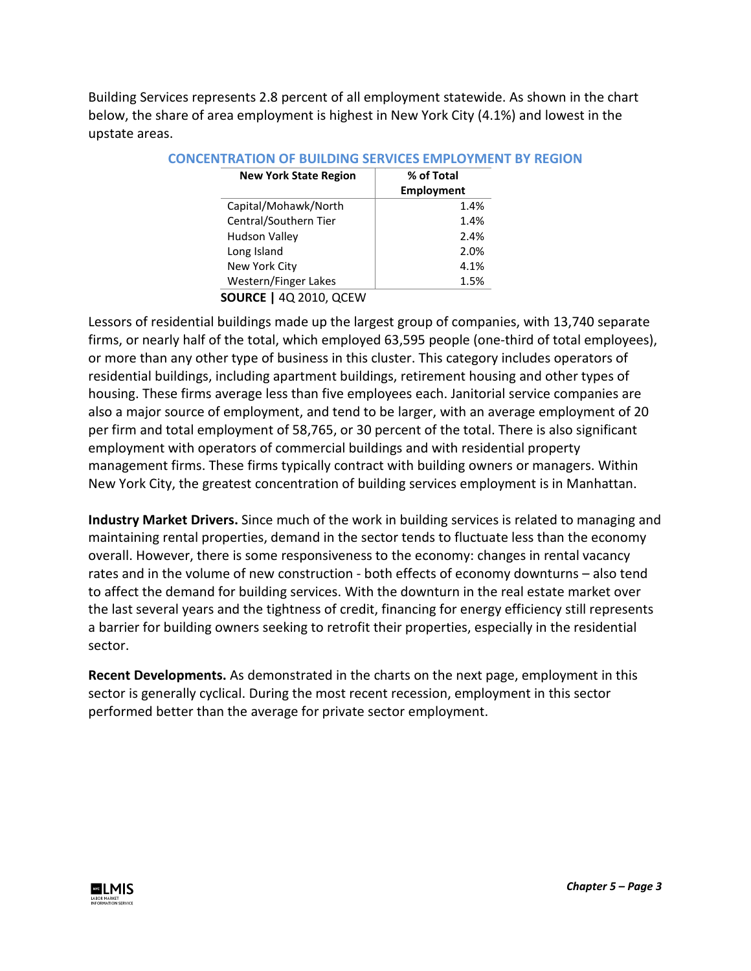Building Services represents 2.8 percent of all employment statewide. As shown in the chart below, the share of area employment is highest in New York City (4.1%) and lowest in the upstate areas.

| <b>New York State Region</b>  | % of Total<br><b>Employment</b> |
|-------------------------------|---------------------------------|
| Capital/Mohawk/North          | 1.4%                            |
| Central/Southern Tier         | 1.4%                            |
| <b>Hudson Valley</b>          | 2.4%                            |
| Long Island                   | 2.0%                            |
| New York City                 | 4.1%                            |
| Western/Finger Lakes          | 1.5%                            |
| <b>SOURCE   4Q 2010, QCEW</b> |                                 |

#### **CONCENTRATION OF BUILDING SERVICES EMPLOYMENT BY REGION**

Lessors of residential buildings made up the largest group of companies, with 13,740 separate firms, or nearly half of the total, which employed 63,595 people (one-third of total employees), or more than any other type of business in this cluster. This category includes operators of residential buildings, including apartment buildings, retirement housing and other types of housing. These firms average less than five employees each. Janitorial service companies are also a major source of employment, and tend to be larger, with an average employment of 20 per firm and total employment of 58,765, or 30 percent of the total. There is also significant employment with operators of commercial buildings and with residential property management firms. These firms typically contract with building owners or managers. Within New York City, the greatest concentration of building services employment is in Manhattan.

**Industry Market Drivers.** Since much of the work in building services is related to managing and maintaining rental properties, demand in the sector tends to fluctuate less than the economy overall. However, there is some responsiveness to the economy: changes in rental vacancy rates and in the volume of new construction - both effects of economy downturns – also tend to affect the demand for building services. With the downturn in the real estate market over the last several years and the tightness of credit, financing for energy efficiency still represents a barrier for building owners seeking to retrofit their properties, especially in the residential sector.

**Recent Developments.** As demonstrated in the charts on the next page, employment in this sector is generally cyclical. During the most recent recession, employment in this sector performed better than the average for private sector employment.

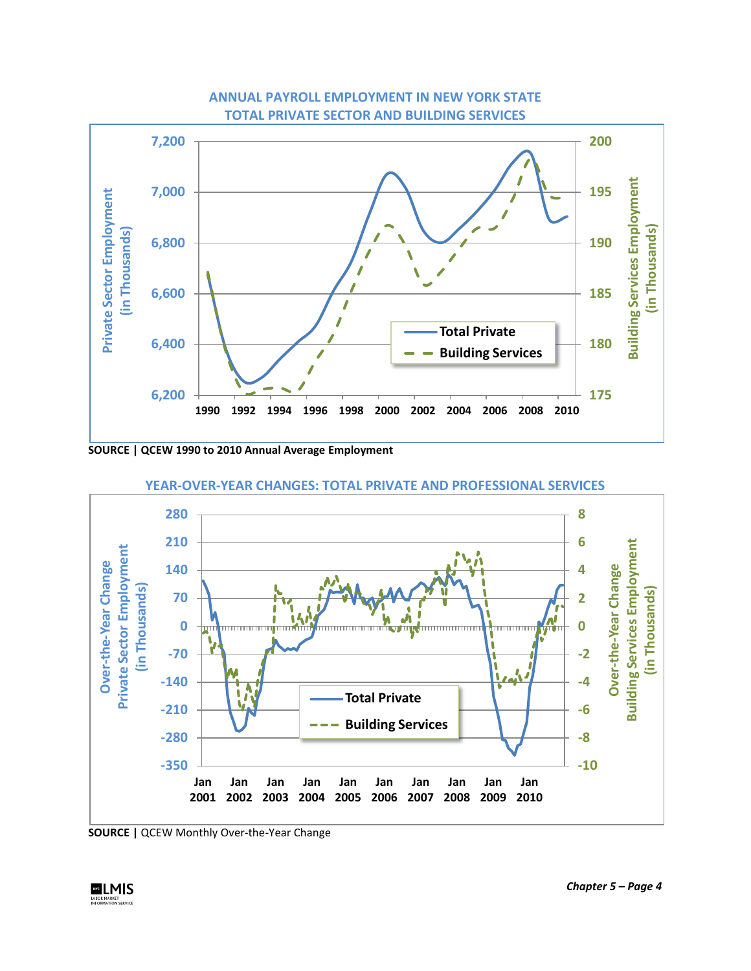

### **ANNUAL PAYROLL EMPLOYMENT IN NEW YORK STATE TOTAL PRIVATE SECTOR AND BUILDING SERVICES**

**SOURCE | QCEW 1990 to 2010 Annual Average Employment**



**YEAR-OVER-YEAR CHANGES: TOTAL PRIVATE AND PROFESSIONAL SERVICES**

**SOURCE |** QCEW Monthly Over-the-Year Change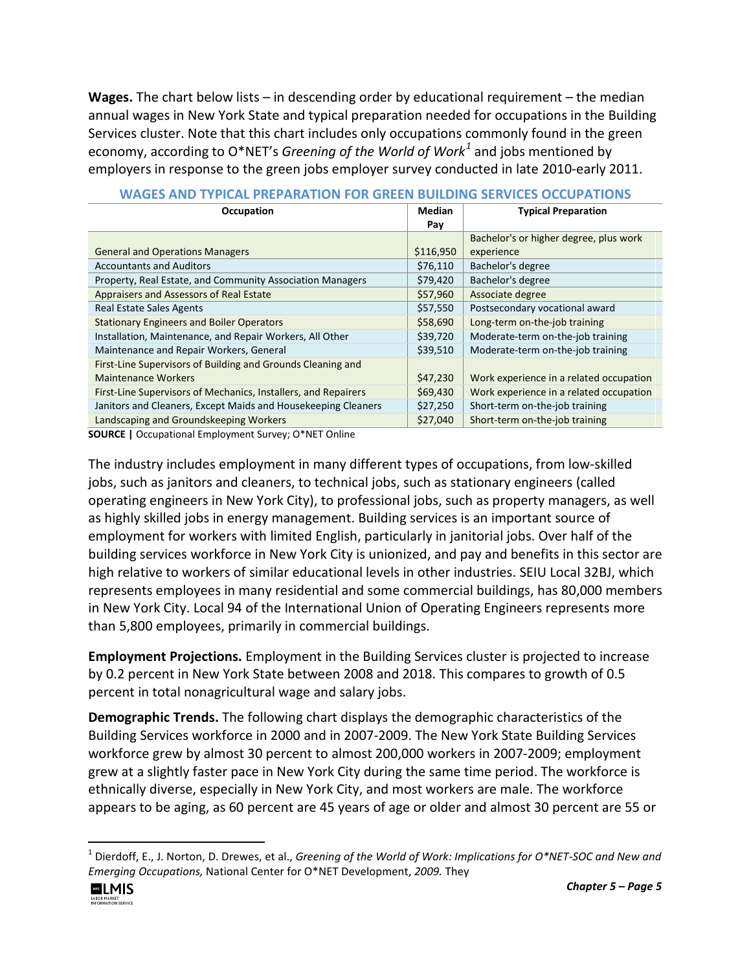**Wages.** The chart below lists – in descending order by educational requirement – the median annual wages in New York State and typical preparation needed for occupations in the Building Services cluster. Note that this chart includes only occupations commonly found in the green economy, according to O\*NET's *Greening of the World of Work[1](#page-4-0)* and jobs mentioned by employers in response to the green jobs employer survey conducted in late 2010-early 2011.

| Occupation                                                     | <b>Median</b> | <b>Typical Preparation</b>              |  |  |
|----------------------------------------------------------------|---------------|-----------------------------------------|--|--|
|                                                                | Pay           |                                         |  |  |
|                                                                |               | Bachelor's or higher degree, plus work  |  |  |
| <b>General and Operations Managers</b>                         | \$116,950     | experience                              |  |  |
| <b>Accountants and Auditors</b>                                | \$76,110      | Bachelor's degree                       |  |  |
| Property, Real Estate, and Community Association Managers      | \$79,420      | Bachelor's degree                       |  |  |
| Appraisers and Assessors of Real Estate                        | \$57,960      | Associate degree                        |  |  |
| <b>Real Estate Sales Agents</b>                                | \$57,550      | Postsecondary vocational award          |  |  |
| <b>Stationary Engineers and Boiler Operators</b>               | \$58,690      | Long-term on-the-job training           |  |  |
| Installation, Maintenance, and Repair Workers, All Other       | \$39,720      | Moderate-term on-the-job training       |  |  |
| Maintenance and Repair Workers, General                        | \$39,510      | Moderate-term on-the-job training       |  |  |
| First-Line Supervisors of Building and Grounds Cleaning and    |               |                                         |  |  |
| <b>Maintenance Workers</b>                                     | \$47,230      | Work experience in a related occupation |  |  |
| First-Line Supervisors of Mechanics, Installers, and Repairers | \$69,430      | Work experience in a related occupation |  |  |
| Janitors and Cleaners, Except Maids and Housekeeping Cleaners  | \$27,250      | Short-term on-the-job training          |  |  |
| Landscaping and Groundskeeping Workers                         | \$27,040      | Short-term on-the-job training          |  |  |

|  |  |  |  | WAGES AND TYPICAL PREPARATION FOR GREEN BUILDING SERVICES OCCUPATIONS |
|--|--|--|--|-----------------------------------------------------------------------|
|--|--|--|--|-----------------------------------------------------------------------|

**SOURCE |** Occupational Employment Survey; O\*NET Online

The industry includes employment in many different types of occupations, from low-skilled jobs, such as janitors and cleaners, to technical jobs, such as stationary engineers (called operating engineers in New York City), to professional jobs, such as property managers, as well as highly skilled jobs in energy management. Building services is an important source of employment for workers with limited English, particularly in janitorial jobs. Over half of the building services workforce in New York City is unionized, and pay and benefits in this sector are high relative to workers of similar educational levels in other industries. SEIU Local 32BJ, which represents employees in many residential and some commercial buildings, has 80,000 members in New York City. Local 94 of the International Union of Operating Engineers represents more than 5,800 employees, primarily in commercial buildings.

**Employment Projections.** Employment in the Building Services cluster is projected to increase by 0.2 percent in New York State between 2008 and 2018. This compares to growth of 0.5 percent in total nonagricultural wage and salary jobs.

**Demographic Trends.** The following chart displays the demographic characteristics of the Building Services workforce in 2000 and in 2007-2009. The New York State Building Services workforce grew by almost 30 percent to almost 200,000 workers in 2007-2009; employment grew at a slightly faster pace in New York City during the same time period. The workforce is ethnically diverse, especially in New York City, and most workers are male. The workforce appears to be aging, as 60 percent are 45 years of age or older and almost 30 percent are 55 or

<span id="page-4-0"></span> <sup>1</sup> Dierdoff, E., J. Norton, D. Drewes, et al., *Greening of the World of Work: Implications for O\*NET-SOC and New and Emerging Occupations,* National Center for O\*NET Development, *2009.* They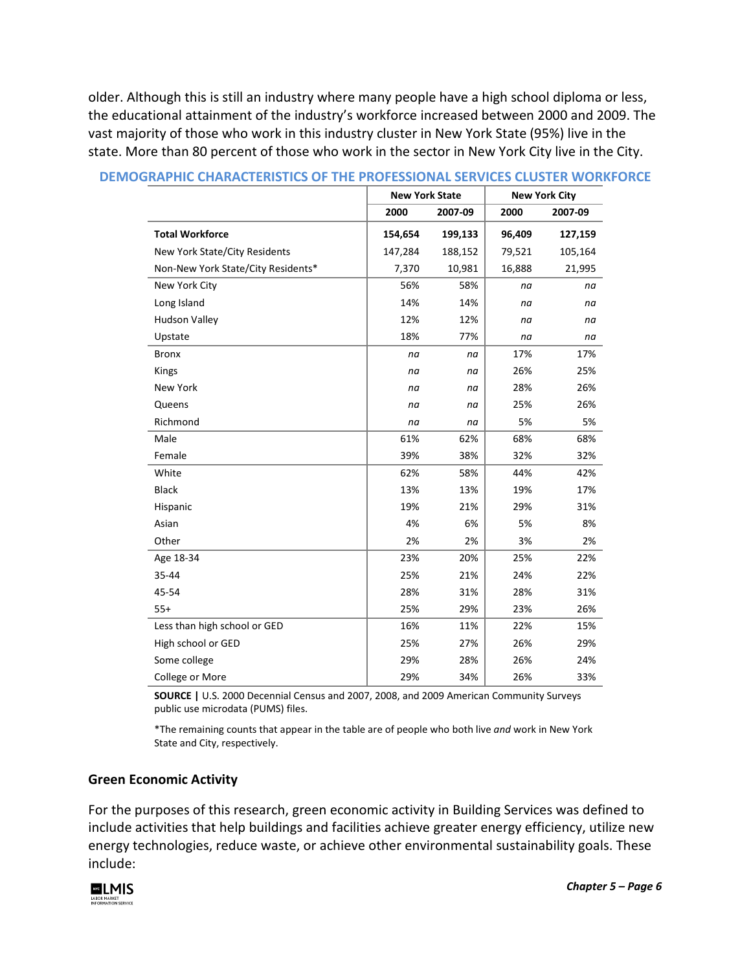older. Although this is still an industry where many people have a high school diploma or less, the educational attainment of the industry's workforce increased between 2000 and 2009. The vast majority of those who work in this industry cluster in New York State (95%) live in the state. More than 80 percent of those who work in the sector in New York City live in the City.

|                                    |         | <b>New York State</b> |        | <b>New York City</b> |  |
|------------------------------------|---------|-----------------------|--------|----------------------|--|
|                                    | 2000    | 2007-09               | 2000   | 2007-09              |  |
| <b>Total Workforce</b>             | 154,654 | 199,133               | 96,409 | 127,159              |  |
| New York State/City Residents      | 147,284 | 188,152               | 79,521 | 105,164              |  |
| Non-New York State/City Residents* | 7,370   | 10,981                | 16,888 | 21,995               |  |
| New York City                      | 56%     | 58%                   | na     | na                   |  |
| Long Island                        | 14%     | 14%                   | na     | na                   |  |
| <b>Hudson Valley</b>               | 12%     | 12%                   | na     | na                   |  |
| Upstate                            | 18%     | 77%                   | na     | na                   |  |
| <b>Bronx</b>                       | na      | na                    | 17%    | 17%                  |  |
| Kings                              | na      | na                    | 26%    | 25%                  |  |
| <b>New York</b>                    | na      | na                    | 28%    | 26%                  |  |
| Queens                             | na      | na                    | 25%    | 26%                  |  |
| Richmond                           | na      | na                    | 5%     | 5%                   |  |
| Male                               | 61%     | 62%                   | 68%    | 68%                  |  |
| Female                             | 39%     | 38%                   | 32%    | 32%                  |  |
| White                              | 62%     | 58%                   | 44%    | 42%                  |  |
| <b>Black</b>                       | 13%     | 13%                   | 19%    | 17%                  |  |
| Hispanic                           | 19%     | 21%                   | 29%    | 31%                  |  |
| Asian                              | 4%      | 6%                    | 5%     | 8%                   |  |
| Other                              | 2%      | 2%                    | 3%     | 2%                   |  |
| Age 18-34                          | 23%     | 20%                   | 25%    | 22%                  |  |
| 35-44                              | 25%     | 21%                   | 24%    | 22%                  |  |
| 45-54                              | 28%     | 31%                   | 28%    | 31%                  |  |
| $55+$                              | 25%     | 29%                   | 23%    | 26%                  |  |
| Less than high school or GED       | 16%     | 11%                   | 22%    | 15%                  |  |
| High school or GED                 | 25%     | 27%                   | 26%    | 29%                  |  |
| Some college                       | 29%     | 28%                   | 26%    | 24%                  |  |
| College or More                    | 29%     | 34%                   | 26%    | 33%                  |  |

#### **DEMOGRAPHIC CHARACTERISTICS OF THE PROFESSIONAL SERVICES CLUSTER WORKFORCE**

**SOURCE |** U.S. 2000 Decennial Census and 2007, 2008, and 2009 American Community Surveys public use microdata (PUMS) files.

\*The remaining counts that appear in the table are of people who both live *and* work in New York State and City, respectively.

#### **Green Economic Activity**

For the purposes of this research, green economic activity in Building Services was defined to include activities that help buildings and facilities achieve greater energy efficiency, utilize new energy technologies, reduce waste, or achieve other environmental sustainability goals. These include:

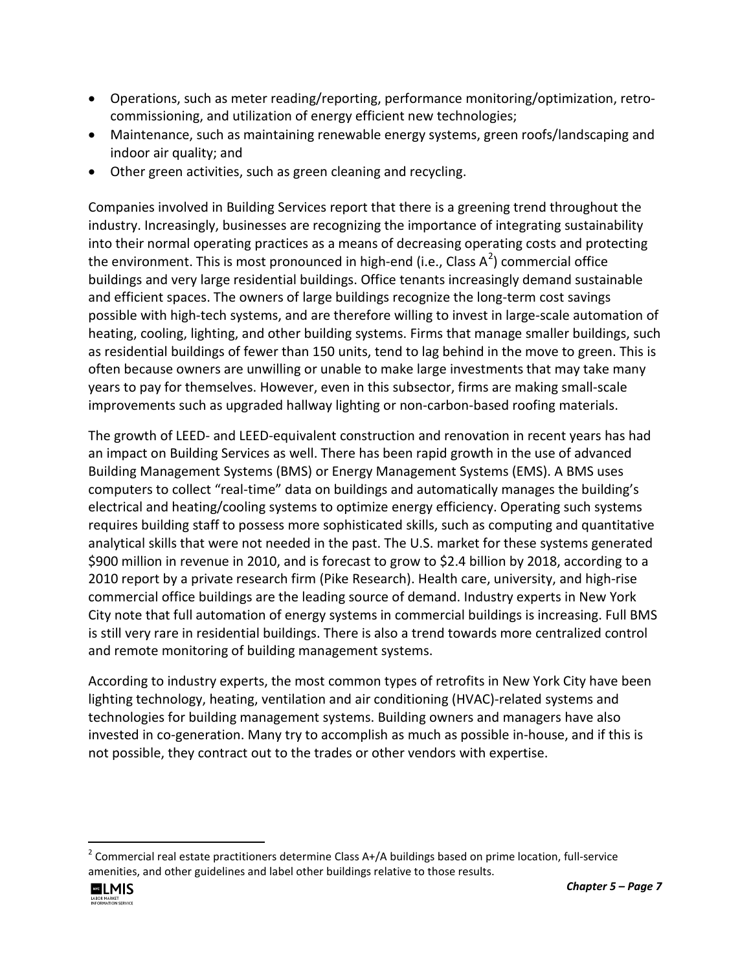- Operations, such as meter reading/reporting, performance monitoring/optimization, retrocommissioning, and utilization of energy efficient new technologies;
- Maintenance, such as maintaining renewable energy systems, green roofs/landscaping and indoor air quality; and
- Other green activities, such as green cleaning and recycling.

Companies involved in Building Services report that there is a greening trend throughout the industry. Increasingly, businesses are recognizing the importance of integrating sustainability into their normal operating practices as a means of decreasing operating costs and protecting the environment. This is most pronounced in high-end (i.e., Class  $A^2$  $A^2$ ) commercial office buildings and very large residential buildings. Office tenants increasingly demand sustainable and efficient spaces. The owners of large buildings recognize the long-term cost savings possible with high-tech systems, and are therefore willing to invest in large-scale automation of heating, cooling, lighting, and other building systems. Firms that manage smaller buildings, such as residential buildings of fewer than 150 units, tend to lag behind in the move to green. This is often because owners are unwilling or unable to make large investments that may take many years to pay for themselves. However, even in this subsector, firms are making small-scale improvements such as upgraded hallway lighting or non-carbon-based roofing materials.

The growth of LEED- and LEED-equivalent construction and renovation in recent years has had an impact on Building Services as well. There has been rapid growth in the use of advanced Building Management Systems (BMS) or Energy Management Systems (EMS). A BMS uses computers to collect "real-time" data on buildings and automatically manages the building's electrical and heating/cooling systems to optimize energy efficiency. Operating such systems requires building staff to possess more sophisticated skills, such as computing and quantitative analytical skills that were not needed in the past. The U.S. market for these systems generated \$900 million in revenue in 2010, and is forecast to grow to \$2.4 billion by 2018, according to a 2010 report by a private research firm (Pike Research). Health care, university, and high-rise commercial office buildings are the leading source of demand. Industry experts in New York City note that full automation of energy systems in commercial buildings is increasing. Full BMS is still very rare in residential buildings. There is also a trend towards more centralized control and remote monitoring of building management systems.

According to industry experts, the most common types of retrofits in New York City have been lighting technology, heating, ventilation and air conditioning (HVAC)-related systems and technologies for building management systems. Building owners and managers have also invested in co-generation. Many try to accomplish as much as possible in-house, and if this is not possible, they contract out to the trades or other vendors with expertise.

<span id="page-6-0"></span> $2$  Commercial real estate practitioners determine Class A+/A buildings based on prime location, full-service amenities, and other guidelines and label other buildings relative to those results.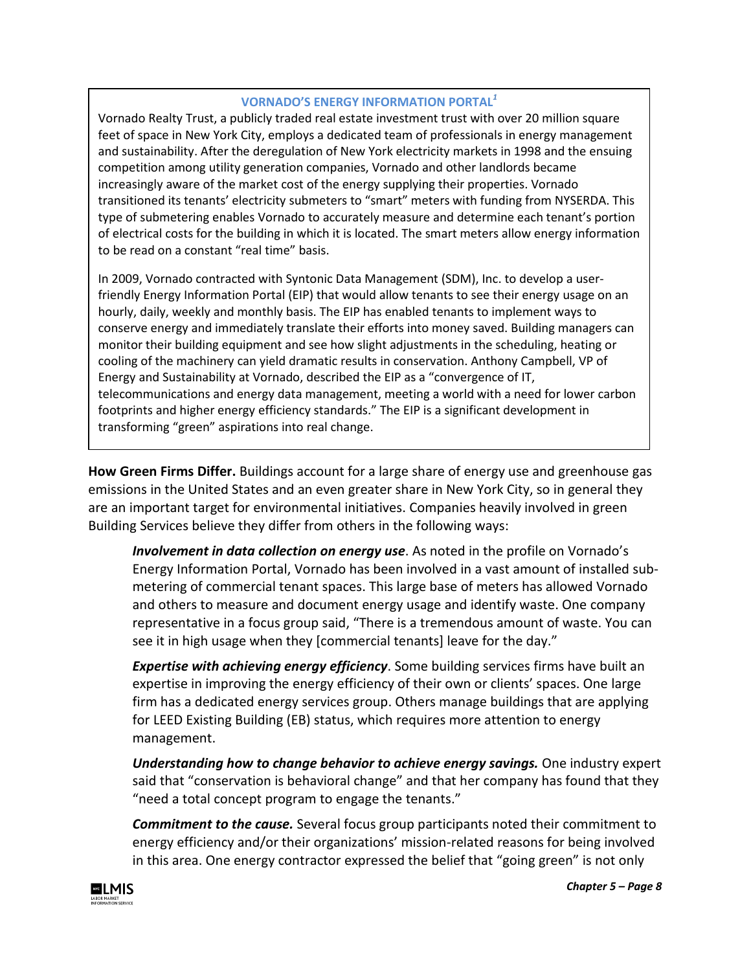### **VORNADO'S ENERGY INFORMATION PORTAL***<sup>1</sup>*

Vornado Realty Trust, a publicly traded real estate investment trust with over 20 million square feet of space in New York City, employs a dedicated team of professionals in energy management and sustainability. After the deregulation of New York electricity markets in 1998 and the ensuing competition among utility generation companies, Vornado and other landlords became increasingly aware of the market cost of the energy supplying their properties. Vornado transitioned its tenants' electricity submeters to "smart" meters with funding from NYSERDA. This type of submetering enables Vornado to accurately measure and determine each tenant's portion of electrical costs for the building in which it is located. The smart meters allow energy information to be read on a constant "real time" basis.

In 2009, Vornado contracted with Syntonic Data Management (SDM), Inc. to develop a userfriendly Energy Information Portal (EIP) that would allow tenants to see their energy usage on an hourly, daily, weekly and monthly basis. The EIP has enabled tenants to implement ways to conserve energy and immediately translate their efforts into money saved. Building managers can monitor their building equipment and see how slight adjustments in the scheduling, heating or cooling of the machinery can yield dramatic results in conservation. Anthony Campbell, VP of Energy and Sustainability at Vornado, described the EIP as a "convergence of IT, telecommunications and energy data management, meeting a world with a need for lower carbon footprints and higher energy efficiency standards." The EIP is a significant development in transforming "green" aspirations into real change.

**How Green Firms Differ.** Buildings account for a large share of energy use and greenhouse gas emissions in the United States and an even greater share in New York City, so in general they are an important target for environmental initiatives. Companies heavily involved in green Building Services believe they differ from others in the following ways:

*Involvement in data collection on energy use*. As noted in the profile on Vornado's Energy Information Portal, Vornado has been involved in a vast amount of installed submetering of commercial tenant spaces. This large base of meters has allowed Vornado and others to measure and document energy usage and identify waste. One company representative in a focus group said, "There is a tremendous amount of waste. You can see it in high usage when they [commercial tenants] leave for the day."

*Expertise with achieving energy efficiency*. Some building services firms have built an expertise in improving the energy efficiency of their own or clients' spaces. One large firm has a dedicated energy services group. Others manage buildings that are applying for LEED Existing Building (EB) status, which requires more attention to energy management.

*Understanding how to change behavior to achieve energy savings.* One industry expert said that "conservation is behavioral change" and that her company has found that they "need a total concept program to engage the tenants."

*Commitment to the cause.* Several focus group participants noted their commitment to energy efficiency and/or their organizations' mission-related reasons for being involved in this area. One energy contractor expressed the belief that "going green" is not only

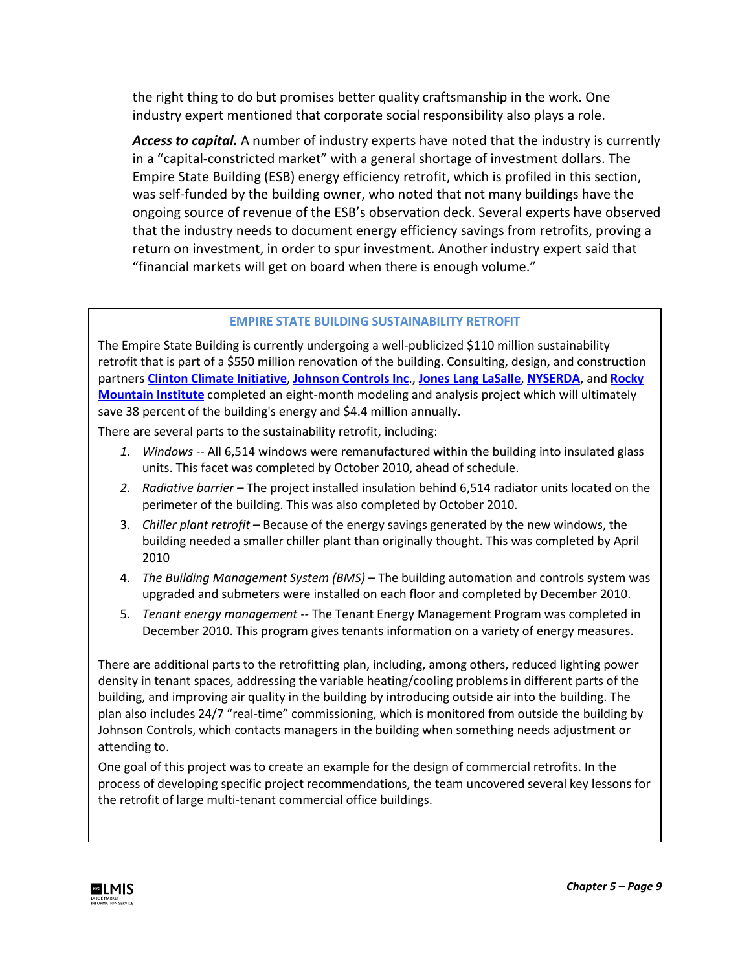the right thing to do but promises better quality craftsmanship in the work. One industry expert mentioned that corporate social responsibility also plays a role.

*Access to capital.* A number of industry experts have noted that the industry is currently in a "capital-constricted market" with a general shortage of investment dollars. The Empire State Building (ESB) energy efficiency retrofit, which is profiled in this section, was self-funded by the building owner, who noted that not many buildings have the ongoing source of revenue of the ESB's observation deck. Several experts have observed that the industry needs to document energy efficiency savings from retrofits, proving a return on investment, in order to spur investment. Another industry expert said that "financial markets will get on board when there is enough volume."

#### **EMPIRE STATE BUILDING SUSTAINABILITY RETROFIT**

The Empire State Building is currently undergoing a well-publicized \$110 million sustainability retrofit that is part of a \$550 million renovation of the building. Consulting, design, and construction partners **[Clinton Climate Initiative](http://www.clintonfoundation.org/what-we-do/clinton-climate-initiative/)**, **[Johnson Controls Inc](http://www.johnsoncontrols.com/publish/us/en.html)**., **[Jones Lang LaSalle](http://www.joneslanglasalle.com/Pages/Home.aspx)**, **[NYSERDA](http://www.nyserda.org/)**, and **[Rocky](http://www.rmi.org/rmi/)  [Mountain Institute](http://www.rmi.org/rmi/)** completed an eight-month modeling and analysis project which will ultimately save 38 percent of the building's energy and \$4.4 million annually.

There are several parts to the sustainability retrofit, including:

- *1. Windows --* All 6,514 windows were remanufactured within the building into insulated glass units. This facet was completed by October 2010, ahead of schedule.
- *2. Radiative barrier –* The project installed insulation behind 6,514 radiator units located on the perimeter of the building. This was also completed by October 2010.
- 3. *Chiller plant retrofit –* Because of the energy savings generated by the new windows, the building needed a smaller chiller plant than originally thought. This was completed by April 2010
- 4. *The Building Management System (BMS)*  The building automation and controls system was upgraded and submeters were installed on each floor and completed by December 2010.
- 5. *Tenant energy management --* The Tenant Energy Management Program was completed in December 2010. This program gives tenants information on a variety of energy measures.

There are additional parts to the retrofitting plan, including, among others, reduced lighting power density in tenant spaces, addressing the variable heating/cooling problems in different parts of the building, and improving air quality in the building by introducing outside air into the building. The plan also includes 24/7 "real-time" commissioning, which is monitored from outside the building by Johnson Controls, which contacts managers in the building when something needs adjustment or attending to.

One goal of this project was to create an example for the design of commercial retrofits. In the process of developing specific project recommendations, the team uncovered several key lessons for the retrofit of large multi-tenant commercial office buildings.

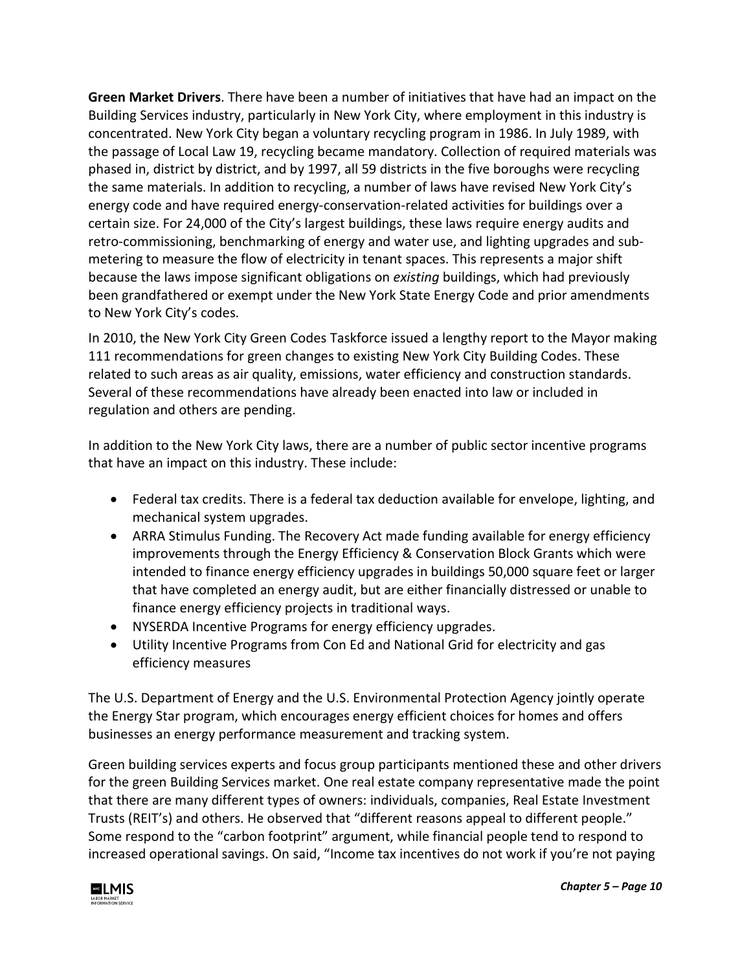**Green Market Drivers**. There have been a number of initiatives that have had an impact on the Building Services industry, particularly in New York City, where employment in this industry is concentrated. New York City began a voluntary recycling program in 1986. In July 1989, with the passage of Local Law 19, recycling became mandatory. Collection of required materials was phased in, district by district, and by 1997, all 59 districts in the five boroughs were recycling the same materials. In addition to recycling, a number of laws have revised New York City's energy code and have required energy-conservation-related activities for buildings over a certain size. For 24,000 of the City's largest buildings, these laws require energy audits and retro-commissioning, benchmarking of energy and water use, and lighting upgrades and submetering to measure the flow of electricity in tenant spaces. This represents a major shift because the laws impose significant obligations on *existing* buildings, which had previously been grandfathered or exempt under the New York State Energy Code and prior amendments to New York City's codes.

In 2010, the New York City Green Codes Taskforce issued a lengthy report to the Mayor making 111 recommendations for green changes to existing New York City Building Codes. These related to such areas as air quality, emissions, water efficiency and construction standards. Several of these recommendations have already been enacted into law or included in regulation and others are pending.

In addition to the New York City laws, there are a number of public sector incentive programs that have an impact on this industry. These include:

- Federal tax credits. There is a federal tax deduction available for envelope, lighting, and mechanical system upgrades.
- ARRA Stimulus Funding. The Recovery Act made funding available for energy efficiency improvements through the Energy Efficiency & Conservation Block Grants which were intended to finance energy efficiency upgrades in buildings 50,000 square feet or larger that have completed an energy audit, but are either financially distressed or unable to finance energy efficiency projects in traditional ways.
- NYSERDA Incentive Programs for energy efficiency upgrades.
- Utility Incentive Programs from Con Ed and National Grid for electricity and gas efficiency measures

The U.S. Department of Energy and the U.S. Environmental Protection Agency jointly operate the Energy Star program, which encourages energy efficient choices for homes and offers businesses an energy performance measurement and tracking system.

Green building services experts and focus group participants mentioned these and other drivers for the green Building Services market. One real estate company representative made the point that there are many different types of owners: individuals, companies, Real Estate Investment Trusts (REIT's) and others. He observed that "different reasons appeal to different people." Some respond to the "carbon footprint" argument, while financial people tend to respond to increased operational savings. On said, "Income tax incentives do not work if you're not paying

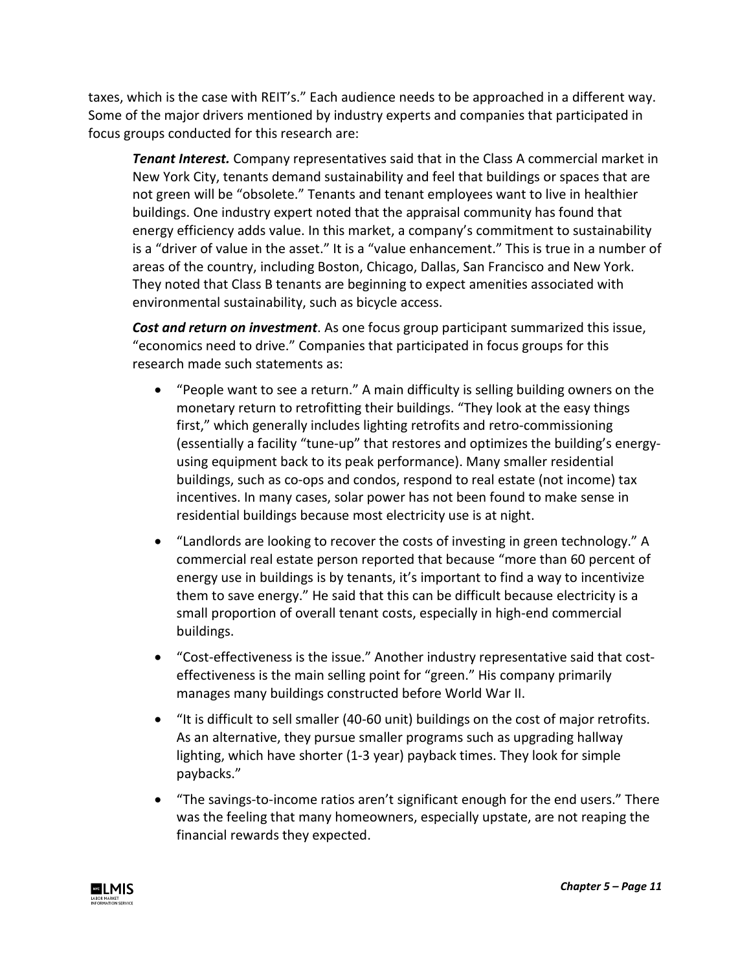taxes, which is the case with REIT's." Each audience needs to be approached in a different way. Some of the major drivers mentioned by industry experts and companies that participated in focus groups conducted for this research are:

*Tenant Interest.* Company representatives said that in the Class A commercial market in New York City, tenants demand sustainability and feel that buildings or spaces that are not green will be "obsolete." Tenants and tenant employees want to live in healthier buildings. One industry expert noted that the appraisal community has found that energy efficiency adds value. In this market, a company's commitment to sustainability is a "driver of value in the asset." It is a "value enhancement." This is true in a number of areas of the country, including Boston, Chicago, Dallas, San Francisco and New York. They noted that Class B tenants are beginning to expect amenities associated with environmental sustainability, such as bicycle access.

*Cost and return on investment*. As one focus group participant summarized this issue, "economics need to drive." Companies that participated in focus groups for this research made such statements as:

- "People want to see a return." A main difficulty is selling building owners on the monetary return to retrofitting their buildings. "They look at the easy things first," which generally includes lighting retrofits and retro-commissioning (essentially a facility "tune-up" that restores and optimizes the building's energyusing equipment back to its peak performance). Many smaller residential buildings, such as co-ops and condos, respond to real estate (not income) tax incentives. In many cases, solar power has not been found to make sense in residential buildings because most electricity use is at night.
- "Landlords are looking to recover the costs of investing in green technology." A commercial real estate person reported that because "more than 60 percent of energy use in buildings is by tenants, it's important to find a way to incentivize them to save energy." He said that this can be difficult because electricity is a small proportion of overall tenant costs, especially in high-end commercial buildings.
- "Cost-effectiveness is the issue." Another industry representative said that costeffectiveness is the main selling point for "green." His company primarily manages many buildings constructed before World War II.
- "It is difficult to sell smaller (40-60 unit) buildings on the cost of major retrofits. As an alternative, they pursue smaller programs such as upgrading hallway lighting, which have shorter (1-3 year) payback times. They look for simple paybacks."
- "The savings-to-income ratios aren't significant enough for the end users." There was the feeling that many homeowners, especially upstate, are not reaping the financial rewards they expected.

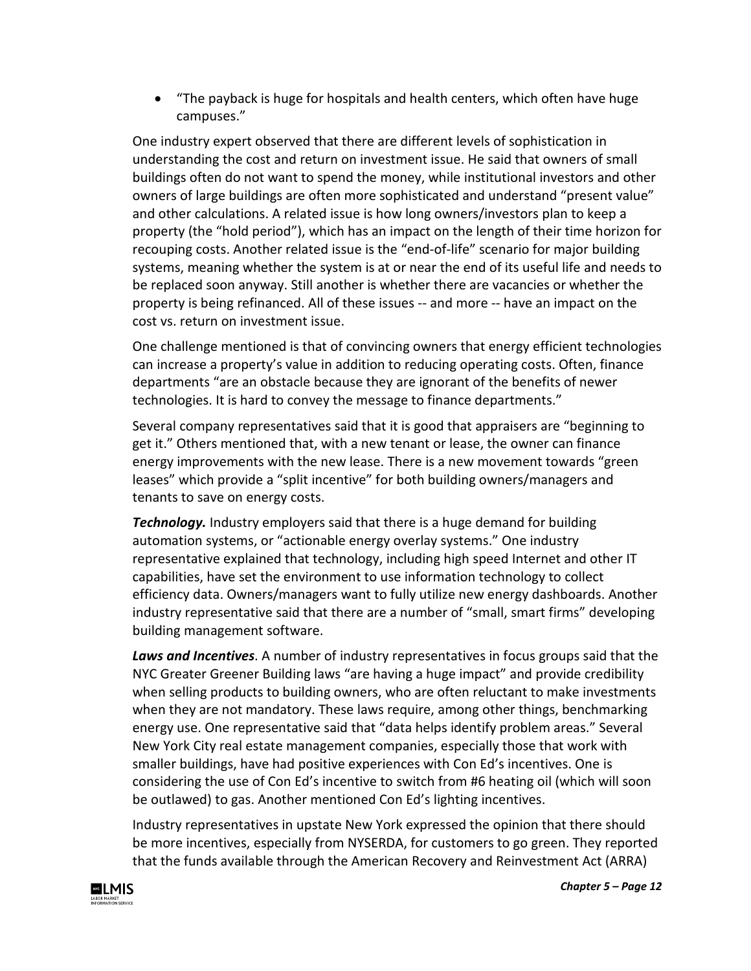• "The payback is huge for hospitals and health centers, which often have huge campuses."

One industry expert observed that there are different levels of sophistication in understanding the cost and return on investment issue. He said that owners of small buildings often do not want to spend the money, while institutional investors and other owners of large buildings are often more sophisticated and understand "present value" and other calculations. A related issue is how long owners/investors plan to keep a property (the "hold period"), which has an impact on the length of their time horizon for recouping costs. Another related issue is the "end-of-life" scenario for major building systems, meaning whether the system is at or near the end of its useful life and needs to be replaced soon anyway. Still another is whether there are vacancies or whether the property is being refinanced. All of these issues -- and more -- have an impact on the cost vs. return on investment issue.

One challenge mentioned is that of convincing owners that energy efficient technologies can increase a property's value in addition to reducing operating costs. Often, finance departments "are an obstacle because they are ignorant of the benefits of newer technologies. It is hard to convey the message to finance departments."

Several company representatives said that it is good that appraisers are "beginning to get it." Others mentioned that, with a new tenant or lease, the owner can finance energy improvements with the new lease. There is a new movement towards "green leases" which provide a "split incentive" for both building owners/managers and tenants to save on energy costs.

*Technology.* Industry employers said that there is a huge demand for building automation systems, or "actionable energy overlay systems." One industry representative explained that technology, including high speed Internet and other IT capabilities, have set the environment to use information technology to collect efficiency data. Owners/managers want to fully utilize new energy dashboards. Another industry representative said that there are a number of "small, smart firms" developing building management software.

*Laws and Incentives*. A number of industry representatives in focus groups said that the NYC Greater Greener Building laws "are having a huge impact" and provide credibility when selling products to building owners, who are often reluctant to make investments when they are not mandatory. These laws require, among other things, benchmarking energy use. One representative said that "data helps identify problem areas." Several New York City real estate management companies, especially those that work with smaller buildings, have had positive experiences with Con Ed's incentives. One is considering the use of Con Ed's incentive to switch from #6 heating oil (which will soon be outlawed) to gas. Another mentioned Con Ed's lighting incentives.

Industry representatives in upstate New York expressed the opinion that there should be more incentives, especially from NYSERDA, for customers to go green. They reported that the funds available through the American Recovery and Reinvestment Act (ARRA)

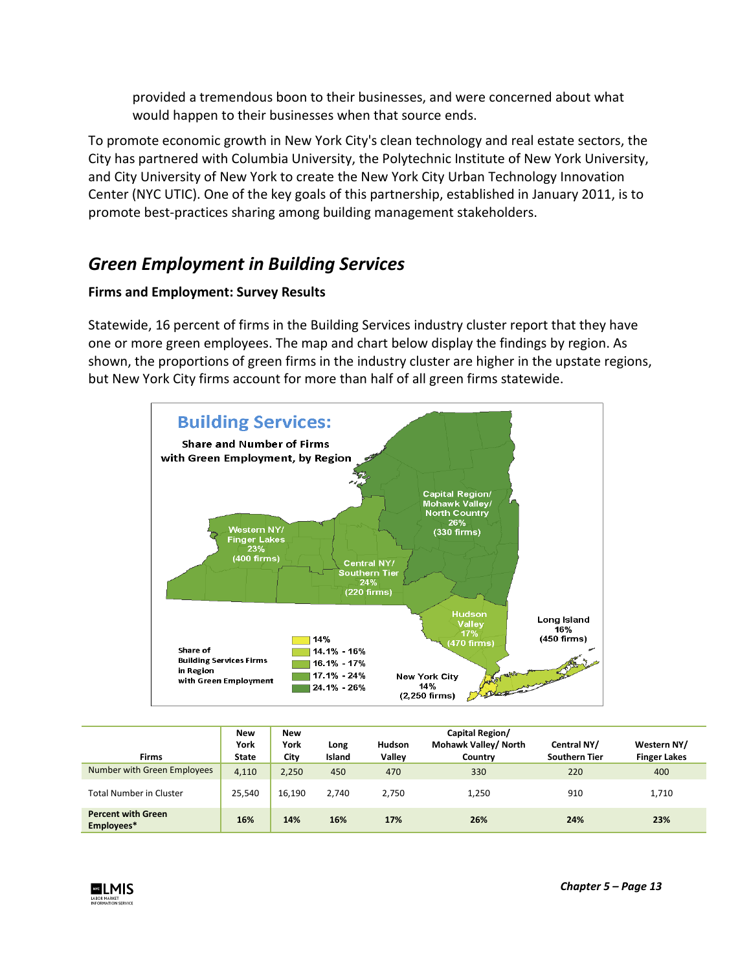provided a tremendous boon to their businesses, and were concerned about what would happen to their businesses when that source ends.

To promote economic growth in New York City's clean technology and real estate sectors, the City has partnered with Columbia University, the Polytechnic Institute of New York University, and City University of New York to create the New York City Urban Technology Innovation Center (NYC UTIC). One of the key goals of this partnership, established in January 2011, is to promote best-practices sharing among building management stakeholders.

# *Green Employment in Building Services*

## **Firms and Employment: Survey Results**

Statewide, 16 percent of firms in the Building Services industry cluster report that they have one or more green employees. The map and chart below display the findings by region. As shown, the proportions of green firms in the industry cluster are higher in the upstate regions, but New York City firms account for more than half of all green firms statewide.



| <b>Firms</b>                            | <b>New</b><br>York<br><b>State</b> | <b>New</b><br>York<br>City | Long<br>Island | <b>Hudson</b><br><b>Valley</b> | Capital Region/<br>Mohawk Valley/ North<br>Country | Central NY/<br><b>Southern Tier</b> | Western NY/<br><b>Finger Lakes</b> |
|-----------------------------------------|------------------------------------|----------------------------|----------------|--------------------------------|----------------------------------------------------|-------------------------------------|------------------------------------|
| Number with Green Employees             | 4,110                              | 2,250                      | 450            | 470                            | 330                                                | 220                                 | 400                                |
| <b>Total Number in Cluster</b>          | 25,540                             | 16,190                     | 2.740          | 2.750                          | 1,250                                              | 910                                 | 1,710                              |
| <b>Percent with Green</b><br>Employees* | 16%                                | 14%                        | 16%            | 17%                            | 26%                                                | 24%                                 | 23%                                |

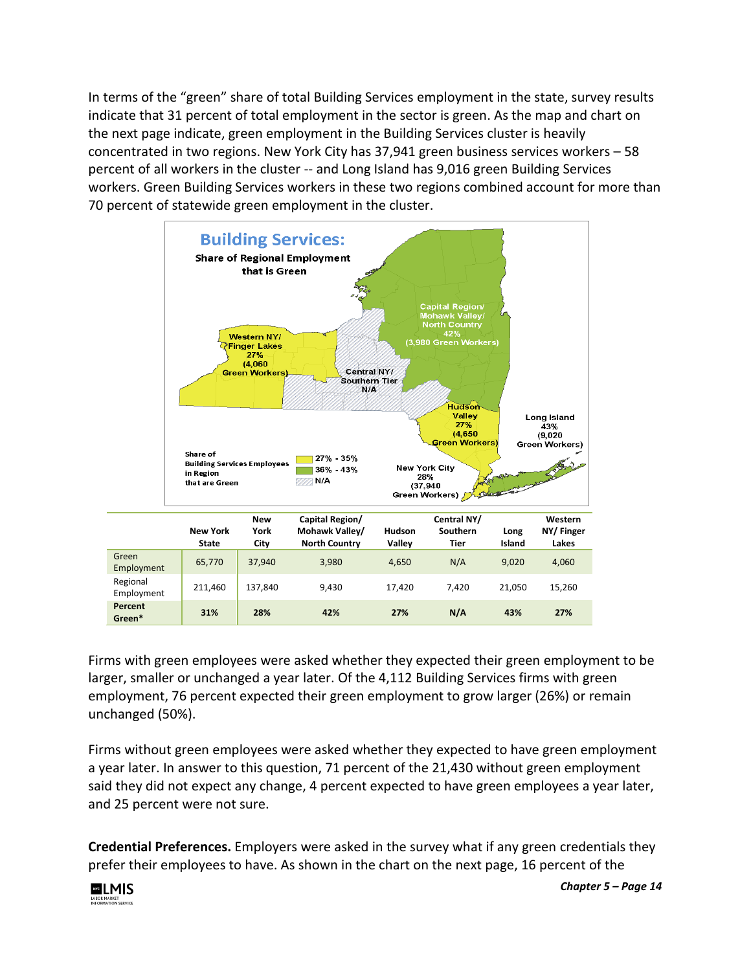In terms of the "green" share of total Building Services employment in the state, survey results indicate that 31 percent of total employment in the sector is green. As the map and chart on the next page indicate, green employment in the Building Services cluster is heavily concentrated in two regions. New York City has 37,941 green business services workers – 58 percent of all workers in the cluster -- and Long Island has 9,016 green Building Services workers. Green Building Services workers in these two regions combined account for more than 70 percent of statewide green employment in the cluster.



Firms with green employees were asked whether they expected their green employment to be larger, smaller or unchanged a year later. Of the 4,112 Building Services firms with green employment, 76 percent expected their green employment to grow larger (26%) or remain unchanged (50%).

Firms without green employees were asked whether they expected to have green employment a year later. In answer to this question, 71 percent of the 21,430 without green employment said they did not expect any change, 4 percent expected to have green employees a year later, and 25 percent were not sure.

**Credential Preferences.** Employers were asked in the survey what if any green credentials they prefer their employees to have. As shown in the chart on the next page, 16 percent of the

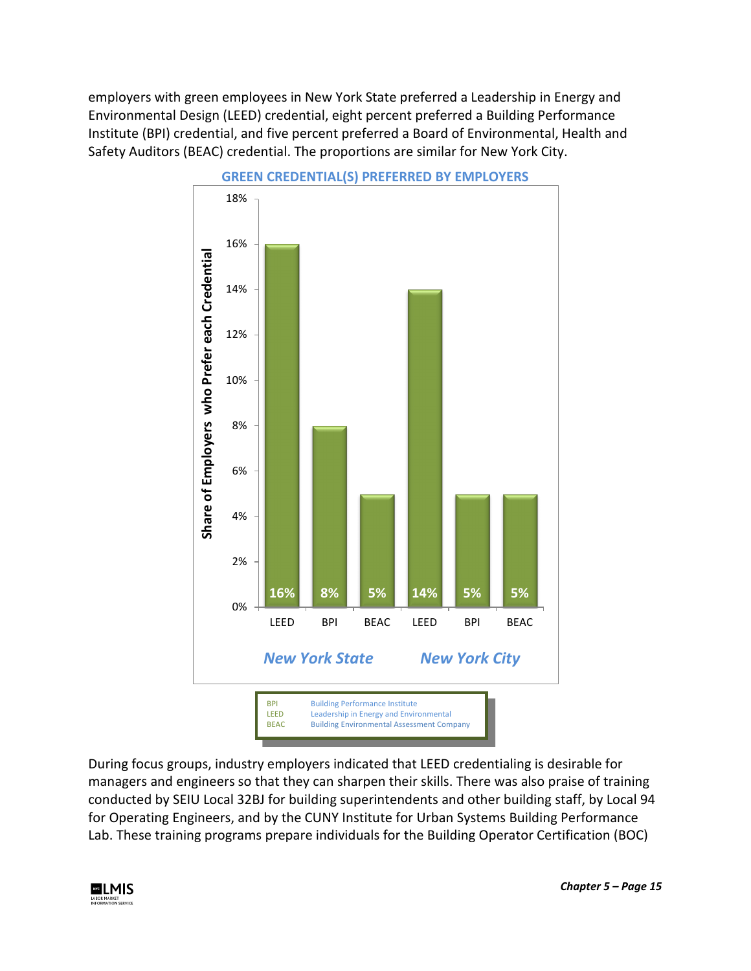employers with green employees in New York State preferred a Leadership in Energy and Environmental Design (LEED) credential, eight percent preferred a Building Performance Institute (BPI) credential, and five percent preferred a Board of Environmental, Health and Safety Auditors (BEAC) credential. The proportions are similar for New York City.



During focus groups, industry employers indicated that LEED credentialing is desirable for managers and engineers so that they can sharpen their skills. There was also praise of training conducted by SEIU Local 32BJ for building superintendents and other building staff, by Local 94 for Operating Engineers, and by the CUNY Institute for Urban Systems Building Performance Lab. These training programs prepare individuals for the Building Operator Certification (BOC)

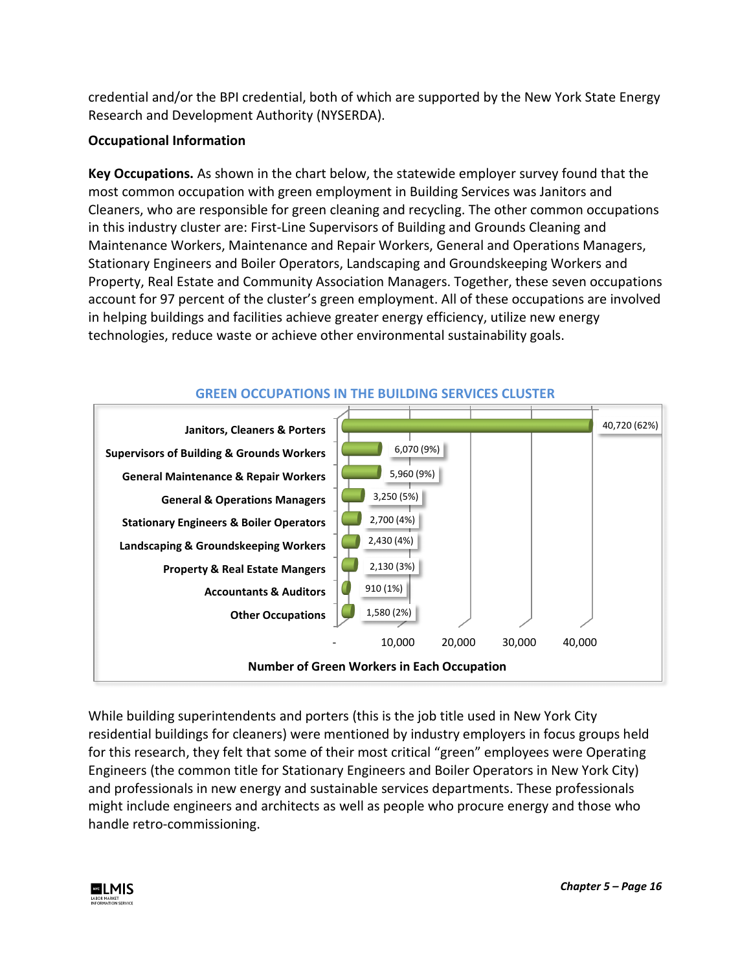credential and/or the BPI credential, both of which are supported by the New York State Energy Research and Development Authority (NYSERDA).

### **Occupational Information**

**Key Occupations.** As shown in the chart below, the statewide employer survey found that the most common occupation with green employment in Building Services was Janitors and Cleaners, who are responsible for green cleaning and recycling. The other common occupations in this industry cluster are: First-Line Supervisors of Building and Grounds Cleaning and Maintenance Workers, Maintenance and Repair Workers, General and Operations Managers, Stationary Engineers and Boiler Operators, Landscaping and Groundskeeping Workers and Property, Real Estate and Community Association Managers. Together, these seven occupations account for 97 percent of the cluster's green employment. All of these occupations are involved in helping buildings and facilities achieve greater energy efficiency, utilize new energy technologies, reduce waste or achieve other environmental sustainability goals.



**GREEN OCCUPATIONS IN THE BUILDING SERVICES CLUSTER**

While building superintendents and porters (this is the job title used in New York City residential buildings for cleaners) were mentioned by industry employers in focus groups held for this research, they felt that some of their most critical "green" employees were Operating Engineers (the common title for Stationary Engineers and Boiler Operators in New York City) and professionals in new energy and sustainable services departments. These professionals might include engineers and architects as well as people who procure energy and those who handle retro-commissioning.

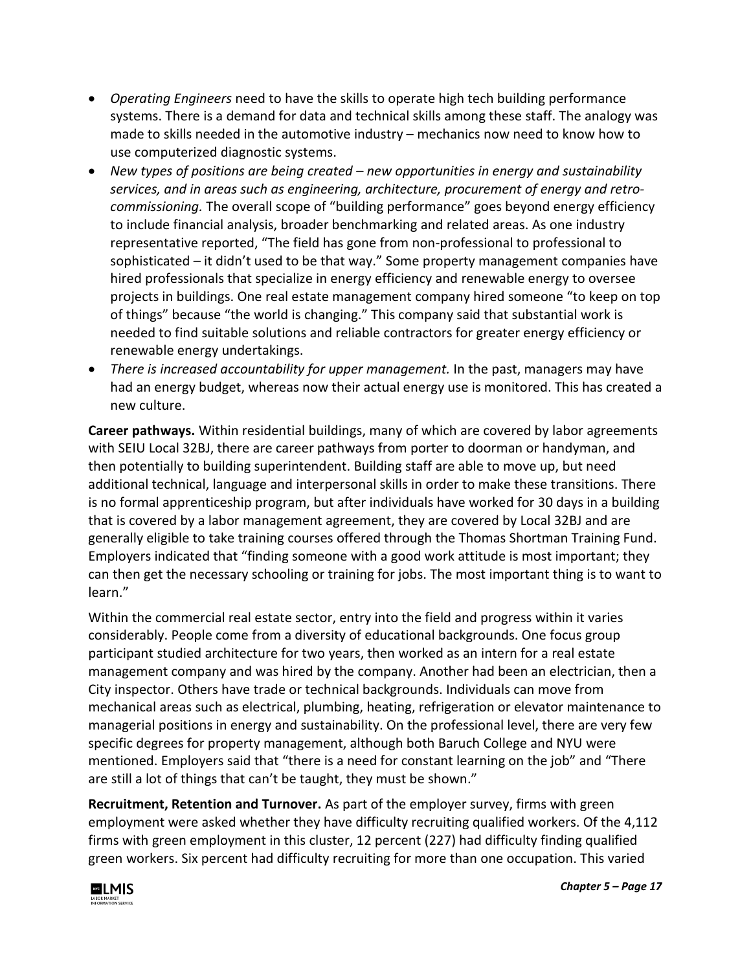- *Operating Engineers* need to have the skills to operate high tech building performance systems. There is a demand for data and technical skills among these staff. The analogy was made to skills needed in the automotive industry – mechanics now need to know how to use computerized diagnostic systems.
- *New types of positions are being created – new opportunities in energy and sustainability services, and in areas such as engineering, architecture, procurement of energy and retrocommissioning.* The overall scope of "building performance" goes beyond energy efficiency to include financial analysis, broader benchmarking and related areas. As one industry representative reported, "The field has gone from non-professional to professional to sophisticated – it didn't used to be that way." Some property management companies have hired professionals that specialize in energy efficiency and renewable energy to oversee projects in buildings. One real estate management company hired someone "to keep on top of things" because "the world is changing." This company said that substantial work is needed to find suitable solutions and reliable contractors for greater energy efficiency or renewable energy undertakings.
- *There is increased accountability for upper management.* In the past, managers may have had an energy budget, whereas now their actual energy use is monitored. This has created a new culture.

**Career pathways.** Within residential buildings, many of which are covered by labor agreements with SEIU Local 32BJ, there are career pathways from porter to doorman or handyman, and then potentially to building superintendent. Building staff are able to move up, but need additional technical, language and interpersonal skills in order to make these transitions. There is no formal apprenticeship program, but after individuals have worked for 30 days in a building that is covered by a labor management agreement, they are covered by Local 32BJ and are generally eligible to take training courses offered through the Thomas Shortman Training Fund. Employers indicated that "finding someone with a good work attitude is most important; they can then get the necessary schooling or training for jobs. The most important thing is to want to learn."

Within the commercial real estate sector, entry into the field and progress within it varies considerably. People come from a diversity of educational backgrounds. One focus group participant studied architecture for two years, then worked as an intern for a real estate management company and was hired by the company. Another had been an electrician, then a City inspector. Others have trade or technical backgrounds. Individuals can move from mechanical areas such as electrical, plumbing, heating, refrigeration or elevator maintenance to managerial positions in energy and sustainability. On the professional level, there are very few specific degrees for property management, although both Baruch College and NYU were mentioned. Employers said that "there is a need for constant learning on the job" and "There are still a lot of things that can't be taught, they must be shown."

**Recruitment, Retention and Turnover.** As part of the employer survey, firms with green employment were asked whether they have difficulty recruiting qualified workers. Of the 4,112 firms with green employment in this cluster, 12 percent (227) had difficulty finding qualified green workers. Six percent had difficulty recruiting for more than one occupation. This varied

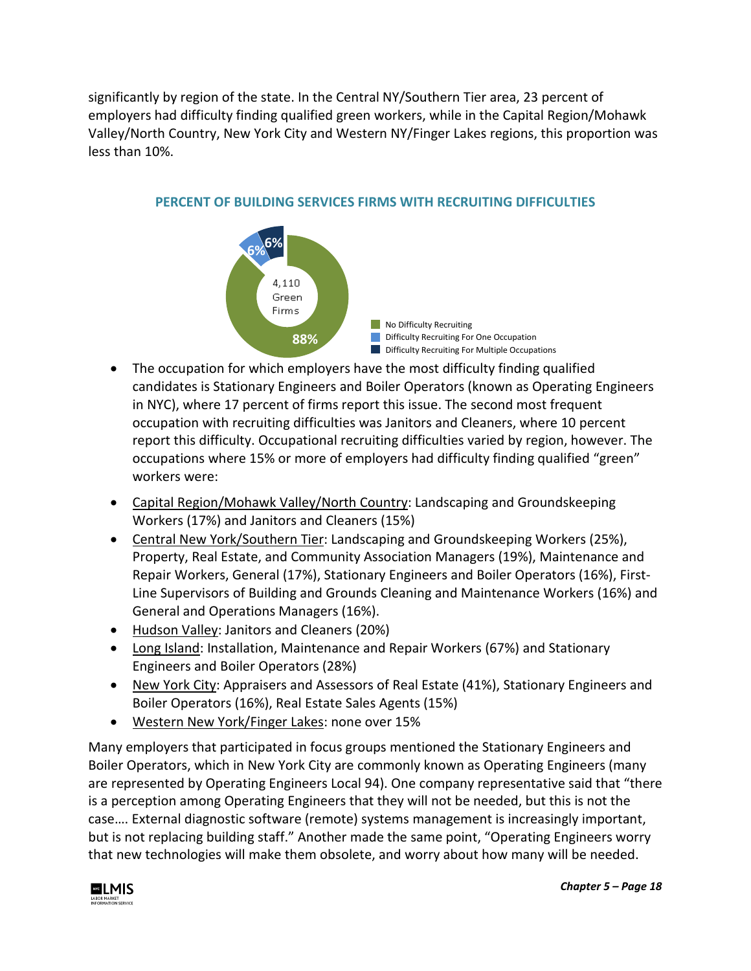significantly by region of the state. In the Central NY/Southern Tier area, 23 percent of employers had difficulty finding qualified green workers, while in the Capital Region/Mohawk Valley/North Country, New York City and Western NY/Finger Lakes regions, this proportion was less than 10%.



### **PERCENT OF BUILDING SERVICES FIRMS WITH RECRUITING DIFFICULTIES**

- The occupation for which employers have the most difficulty finding qualified candidates is Stationary Engineers and Boiler Operators (known as Operating Engineers in NYC), where 17 percent of firms report this issue. The second most frequent occupation with recruiting difficulties was Janitors and Cleaners, where 10 percent report this difficulty. Occupational recruiting difficulties varied by region, however. The occupations where 15% or more of employers had difficulty finding qualified "green" workers were:
- Capital Region/Mohawk Valley/North Country: Landscaping and Groundskeeping Workers (17%) and Janitors and Cleaners (15%)
- Central New York/Southern Tier: Landscaping and Groundskeeping Workers (25%), Property, Real Estate, and Community Association Managers (19%), Maintenance and Repair Workers, General (17%), Stationary Engineers and Boiler Operators (16%), First-Line Supervisors of Building and Grounds Cleaning and Maintenance Workers (16%) and General and Operations Managers (16%).
- Hudson Valley: Janitors and Cleaners (20%)
- Long Island: Installation, Maintenance and Repair Workers (67%) and Stationary Engineers and Boiler Operators (28%)
- New York City: Appraisers and Assessors of Real Estate (41%), Stationary Engineers and Boiler Operators (16%), Real Estate Sales Agents (15%)
- Western New York/Finger Lakes: none over 15%

Many employers that participated in focus groups mentioned the Stationary Engineers and Boiler Operators, which in New York City are commonly known as Operating Engineers (many are represented by Operating Engineers Local 94). One company representative said that "there is a perception among Operating Engineers that they will not be needed, but this is not the case…. External diagnostic software (remote) systems management is increasingly important, but is not replacing building staff." Another made the same point, "Operating Engineers worry that new technologies will make them obsolete, and worry about how many will be needed.

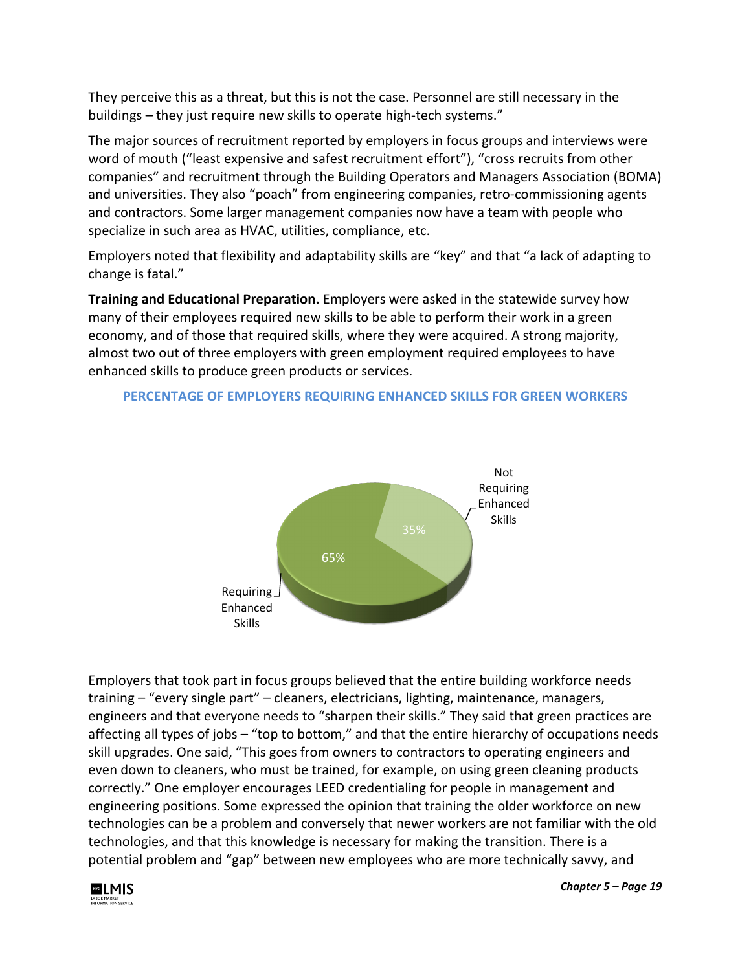They perceive this as a threat, but this is not the case. Personnel are still necessary in the buildings – they just require new skills to operate high-tech systems."

The major sources of recruitment reported by employers in focus groups and interviews were word of mouth ("least expensive and safest recruitment effort"), "cross recruits from other companies" and recruitment through the Building Operators and Managers Association (BOMA) and universities. They also "poach" from engineering companies, retro-commissioning agents and contractors. Some larger management companies now have a team with people who specialize in such area as HVAC, utilities, compliance, etc.

Employers noted that flexibility and adaptability skills are "key" and that "a lack of adapting to change is fatal."

**Training and Educational Preparation.** Employers were asked in the statewide survey how many of their employees required new skills to be able to perform their work in a green economy, and of those that required skills, where they were acquired. A strong majority, almost two out of three employers with green employment required employees to have enhanced skills to produce green products or services.



### **PERCENTAGE OF EMPLOYERS REQUIRING ENHANCED SKILLS FOR GREEN WORKERS**

Employers that took part in focus groups believed that the entire building workforce needs training – "every single part" – cleaners, electricians, lighting, maintenance, managers, engineers and that everyone needs to "sharpen their skills." They said that green practices are affecting all types of jobs – "top to bottom," and that the entire hierarchy of occupations needs skill upgrades. One said, "This goes from owners to contractors to operating engineers and even down to cleaners, who must be trained, for example, on using green cleaning products correctly." One employer encourages LEED credentialing for people in management and engineering positions. Some expressed the opinion that training the older workforce on new technologies can be a problem and conversely that newer workers are not familiar with the old technologies, and that this knowledge is necessary for making the transition. There is a potential problem and "gap" between new employees who are more technically savvy, and



*Chapter 5 – Page 19*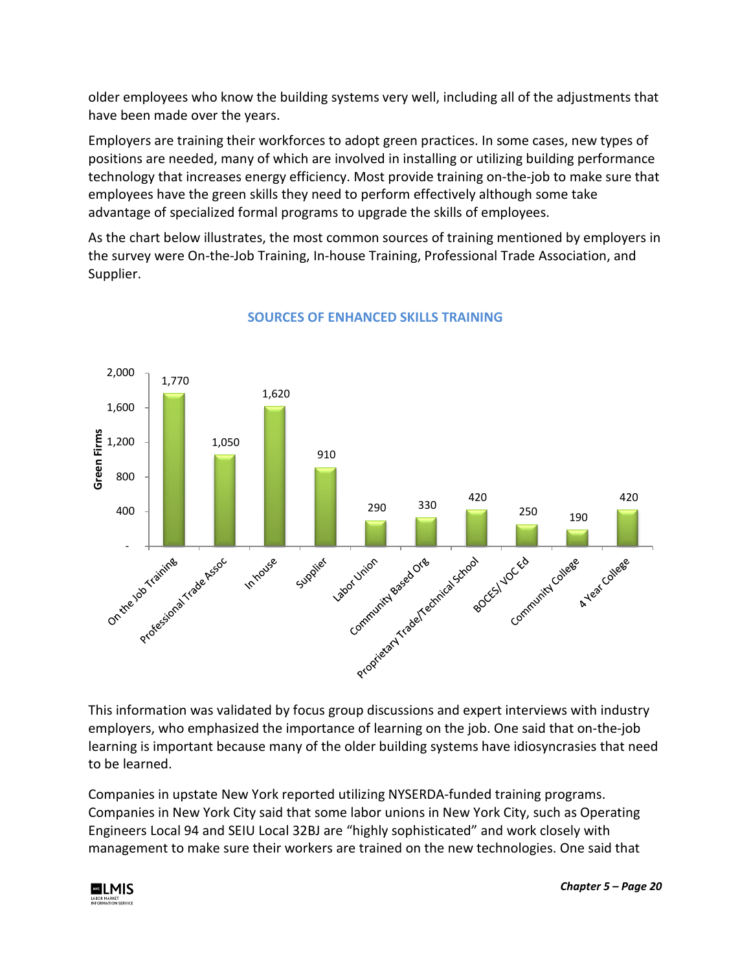older employees who know the building systems very well, including all of the adjustments that have been made over the years.

Employers are training their workforces to adopt green practices. In some cases, new types of positions are needed, many of which are involved in installing or utilizing building performance technology that increases energy efficiency. Most provide training on-the-job to make sure that employees have the green skills they need to perform effectively although some take advantage of specialized formal programs to upgrade the skills of employees.

As the chart below illustrates, the most common sources of training mentioned by employers in the survey were On-the-Job Training, In-house Training, Professional Trade Association, and Supplier.



## **SOURCES OF ENHANCED SKILLS TRAINING**

This information was validated by focus group discussions and expert interviews with industry employers, who emphasized the importance of learning on the job. One said that on-the-job learning is important because many of the older building systems have idiosyncrasies that need to be learned.

Companies in upstate New York reported utilizing NYSERDA-funded training programs. Companies in New York City said that some labor unions in New York City, such as Operating Engineers Local 94 and SEIU Local 32BJ are "highly sophisticated" and work closely with management to make sure their workers are trained on the new technologies. One said that

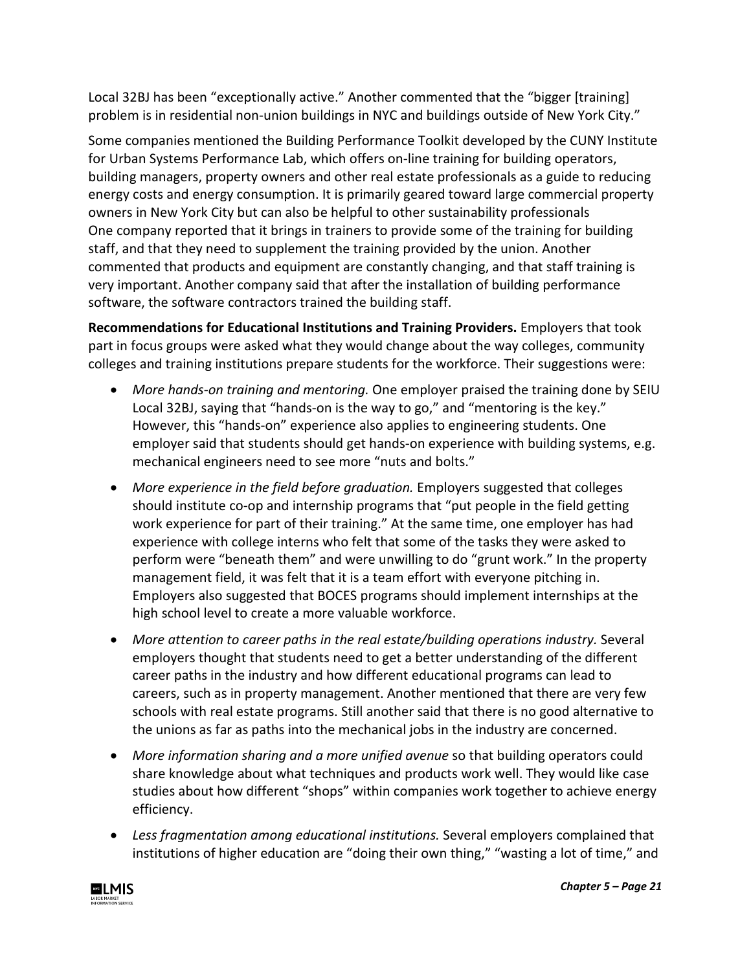Local 32BJ has been "exceptionally active." Another commented that the "bigger [training] problem is in residential non-union buildings in NYC and buildings outside of New York City."

Some companies mentioned the Building Performance Toolkit developed by the CUNY Institute for Urban Systems Performance Lab, which offers on-line training for building operators, building managers, property owners and other real estate professionals as a guide to reducing energy costs and energy consumption. It is primarily geared toward large commercial property owners in New York City but can also be helpful to other sustainability professionals One company reported that it brings in trainers to provide some of the training for building staff, and that they need to supplement the training provided by the union. Another commented that products and equipment are constantly changing, and that staff training is very important. Another company said that after the installation of building performance software, the software contractors trained the building staff.

**Recommendations for Educational Institutions and Training Providers.** Employers that took part in focus groups were asked what they would change about the way colleges, community colleges and training institutions prepare students for the workforce. Their suggestions were:

- *More hands-on training and mentoring.* One employer praised the training done by SEIU Local 32BJ, saying that "hands-on is the way to go," and "mentoring is the key." However, this "hands-on" experience also applies to engineering students. One employer said that students should get hands-on experience with building systems, e.g. mechanical engineers need to see more "nuts and bolts."
- More experience in the field before graduation. Employers suggested that colleges should institute co-op and internship programs that "put people in the field getting work experience for part of their training." At the same time, one employer has had experience with college interns who felt that some of the tasks they were asked to perform were "beneath them" and were unwilling to do "grunt work." In the property management field, it was felt that it is a team effort with everyone pitching in. Employers also suggested that BOCES programs should implement internships at the high school level to create a more valuable workforce.
- More attention to career paths in the real estate/building operations industry. Several employers thought that students need to get a better understanding of the different career paths in the industry and how different educational programs can lead to careers, such as in property management. Another mentioned that there are very few schools with real estate programs. Still another said that there is no good alternative to the unions as far as paths into the mechanical jobs in the industry are concerned.
- More information sharing and a more unified avenue so that building operators could share knowledge about what techniques and products work well. They would like case studies about how different "shops" within companies work together to achieve energy efficiency.
- *Less fragmentation among educational institutions.* Several employers complained that institutions of higher education are "doing their own thing," "wasting a lot of time," and